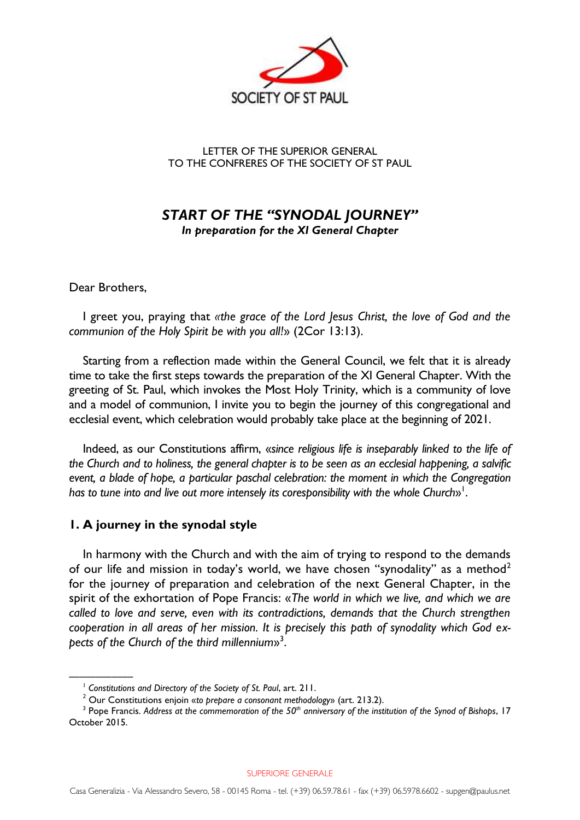

#### LETTER OF THE SUPERIOR GENERAL TO THE CONFRERES OF THE SOCIETY OF ST PAUL

## *START OF THE "SYNODAL JOURNEY" In preparation for the XI General Chapter*

Dear Brothers,

––––––––––––

I greet you, praying that *«the grace of the Lord Jesus Christ, the love of God and the communion of the Holy Spirit be with you all!*» (2Cor 13:13).

Starting from a reflection made within the General Council, we felt that it is already time to take the first steps towards the preparation of the XI General Chapter. With the greeting of St. Paul, which invokes the Most Holy Trinity, which is a community of love and a model of communion, I invite you to begin the journey of this congregational and ecclesial event, which celebration would probably take place at the beginning of 2021.

Indeed, as our Constitutions affirm, «*since religious life is inseparably linked to the life of the Church and to holiness, the general chapter is to be seen as an ecclesial happening, a salvific event, a blade of hope, a particular paschal celebration: the moment in which the Congregation*  has to tune into and live out more intensely its coresponsibility with the whole Church»<sup>1</sup>.

#### **1. A journey in the synodal style**

In harmony with the Church and with the aim of trying to respond to the demands of our life and mission in today's world, we have chosen "synodality" as a method<sup>2</sup> for the journey of preparation and celebration of the next General Chapter, in the spirit of the exhortation of Pope Francis: «*The world in which we live, and which we are called to love and serve, even with its contradictions, demands that the Church strengthen cooperation in all areas of her mission. It is precisely this path of synodality which God expects of the Church of the third millennium*» 3 .

SUPERIORE GENERALE

<sup>1</sup> *Constitutions and Directory of the Society of St. Paul*, art. 211.

<sup>2</sup> Our Constitutions enjoin «*to prepare a consonant methodology*» (art. 213.2).

<sup>3</sup> Pope Francis. *Address at the commemoration of the 50th anniversary of the institution of the Synod of Bishops*, 17 October 2015.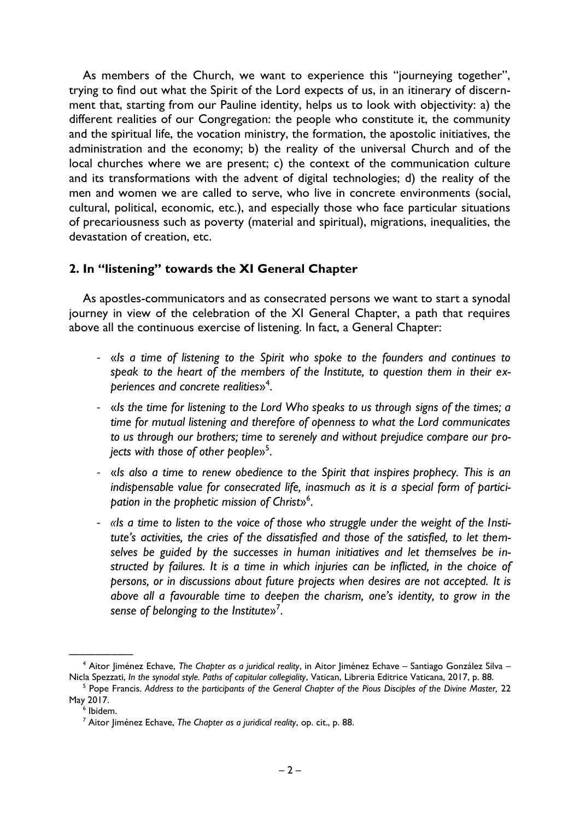As members of the Church, we want to experience this "journeying together", trying to find out what the Spirit of the Lord expects of us, in an itinerary of discernment that, starting from our Pauline identity, helps us to look with objectivity: a) the different realities of our Congregation: the people who constitute it, the community and the spiritual life, the vocation ministry, the formation, the apostolic initiatives, the administration and the economy; b) the reality of the universal Church and of the local churches where we are present; c) the context of the communication culture and its transformations with the advent of digital technologies; d) the reality of the men and women we are called to serve, who live in concrete environments (social, cultural, political, economic, etc.), and especially those who face particular situations of precariousness such as poverty (material and spiritual), migrations, inequalities, the devastation of creation, etc.

## **2. In "listening" towards the XI General Chapter**

As apostles-communicators and as consecrated persons we want to start a synodal journey in view of the celebration of the XI General Chapter, a path that requires above all the continuous exercise of listening. In fact, a General Chapter:

- «*Is a time of listening to the Spirit who spoke to the founders and continues to speak to the heart of the members of the Institute, to question them in their experiences and concrete realities*» 4 .
- «*Is the time for listening to the Lord Who speaks to us through signs of the times; a time for mutual listening and therefore of openness to what the Lord communicates to us through our brothers; time to serenely and without prejudice compare our projects with those of other people*» 5 .
- «*Is also a time to renew obedience to the Spirit that inspires prophecy. This is an indispensable value for consecrated life, inasmuch as it is a special form of participation in the prophetic mission of Christ*» 6 .
- *«Is a time to listen to the voice of those who struggle under the weight of the Institute's activities, the cries of the dissatisfied and those of the satisfied, to let themselves be guided by the successes in human initiatives and let themselves be instructed by failures. It is a time in which injuries can be inflicted, in the choice of persons, or in discussions about future projects when desires are not accepted. It is above all a favourable time to deepen the charism, one's identity, to grow in the sense of belonging to the Institute*» 7 .

<sup>––––––––––––</sup> <sup>4</sup> Aitor Jiménez Echave, *The Chapter as a juridical reality*, in Aitor Jiménez Echave – Santiago González Silva – Nicla Spezzati, *In the synodal style. Paths of capitular collegiality*, Vatican, Libreria Editrice Vaticana, 2017, p. 88.

<sup>&</sup>lt;sup>5</sup> Pope Francis. Address to the participants of the General Chapter of the Pious Disciples of the Divine Master, 22 May 2017.

<sup>6</sup> Ibidem.

<sup>7</sup> Aitor Jiménez Echave, *The Chapter as a juridical reality*, op. cit., p. 88.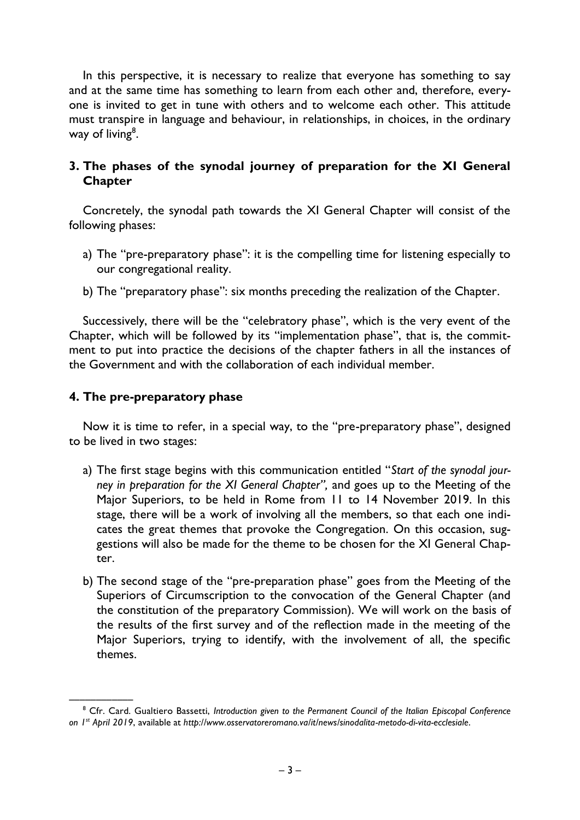In this perspective, it is necessary to realize that everyone has something to say and at the same time has something to learn from each other and, therefore, everyone is invited to get in tune with others and to welcome each other. This attitude must transpire in language and behaviour, in relationships, in choices, in the ordinary way of living<sup>8</sup>.

# **3. The phases of the synodal journey of preparation for the XI General Chapter**

Concretely, the synodal path towards the XI General Chapter will consist of the following phases:

- a) The "pre-preparatory phase": it is the compelling time for listening especially to our congregational reality.
- b) The "preparatory phase": six months preceding the realization of the Chapter.

Successively, there will be the "celebratory phase", which is the very event of the Chapter, which will be followed by its "implementation phase", that is, the commitment to put into practice the decisions of the chapter fathers in all the instances of the Government and with the collaboration of each individual member.

### **4. The pre-preparatory phase**

Now it is time to refer, in a special way, to the "pre-preparatory phase", designed to be lived in two stages:

- a) The first stage begins with this communication entitled "*Start of the synodal journey in preparation for the XI General Chapter",* and goes up to the Meeting of the Major Superiors, to be held in Rome from 11 to 14 November 2019. In this stage, there will be a work of involving all the members, so that each one indicates the great themes that provoke the Congregation. On this occasion, suggestions will also be made for the theme to be chosen for the XI General Chapter.
- b) The second stage of the "pre-preparation phase" goes from the Meeting of the Superiors of Circumscription to the convocation of the General Chapter (and the constitution of the preparatory Commission). We will work on the basis of the results of the first survey and of the reflection made in the meeting of the Major Superiors, trying to identify, with the involvement of all, the specific themes.

<sup>––––––––––––</sup> <sup>8</sup> Cfr. Card. Gualtiero Bassetti, *Introduction given to the Permanent Council of the Italian Episcopal Conference on 1 st April 2019*, available at *http://www.osservatoreromano.va/it/news/sinodalita-metodo-di-vita-ecclesiale*.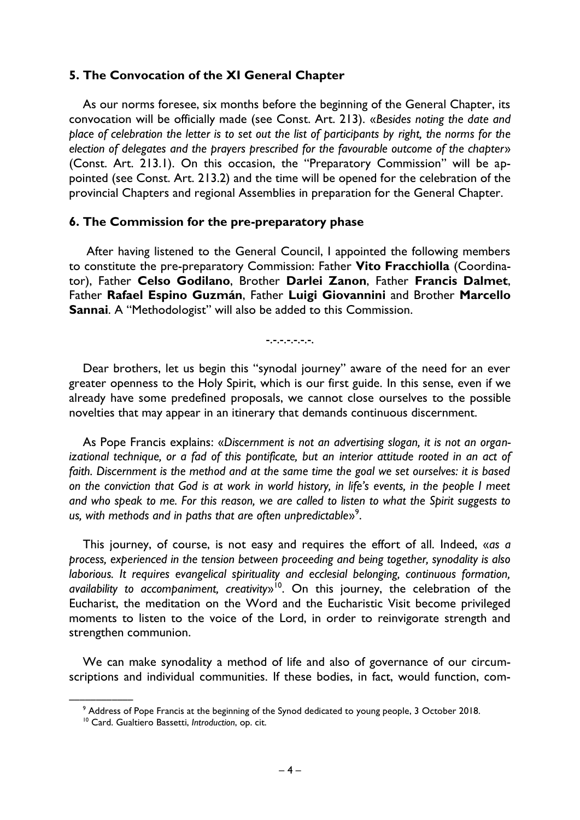### **5. The Convocation of the XI General Chapter**

As our norms foresee, six months before the beginning of the General Chapter, its convocation will be officially made (see Const. Art. 213). «*Besides noting the date and place of celebration the letter is to set out the list of participants by right, the norms for the election of delegates and the prayers prescribed for the favourable outcome of the chapter*» (Const. Art. 213.1). On this occasion, the "Preparatory Commission" will be appointed (see Const. Art. 213.2) and the time will be opened for the celebration of the provincial Chapters and regional Assemblies in preparation for the General Chapter.

#### **6. The Commission for the pre-preparatory phase**

After having listened to the General Council, I appointed the following members to constitute the pre-preparatory Commission: Father **Vito Fracchiolla** (Coordinator), Father **Celso Godilano**, Brother **Darlei Zanon**, Father **Francis Dalmet**, Father **Rafael Espino Guzmán**, Father **Luigi Giovannini** and Brother **Marcello Sannai**. A "Methodologist" will also be added to this Commission.

-.-.-.-.-.-.-.

Dear brothers, let us begin this "synodal journey" aware of the need for an ever greater openness to the Holy Spirit, which is our first guide. In this sense, even if we already have some predefined proposals, we cannot close ourselves to the possible novelties that may appear in an itinerary that demands continuous discernment.

As Pope Francis explains: «*Discernment is not an advertising slogan, it is not an organizational technique, or a fad of this pontificate, but an interior attitude rooted in an act of faith. Discernment is the method and at the same time the goal we set ourselves: it is based on the conviction that God is at work in world history, in life's events, in the people I meet and who speak to me. For this reason, we are called to listen to what the Spirit suggests to us, with methods and in paths that are often unpredictable*» 9 .

This journey, of course, is not easy and requires the effort of all. Indeed, «*as a process, experienced in the tension between proceeding and being together, synodality is also laborious. It requires evangelical spirituality and ecclesial belonging, continuous formation, availability to accompaniment, creativity*» 10 . On this journey, the celebration of the Eucharist, the meditation on the Word and the Eucharistic Visit become privileged moments to listen to the voice of the Lord, in order to reinvigorate strength and strengthen communion.

We can make synodality a method of life and also of governance of our circumscriptions and individual communities. If these bodies, in fact, would function, com-

<sup>––––––––––––</sup>  $^9$  Address of Pope Francis at the beginning of the Synod dedicated to young people, 3 October 2018.

<sup>10</sup> Card. Gualtiero Bassetti, *Introduction*, op. cit.